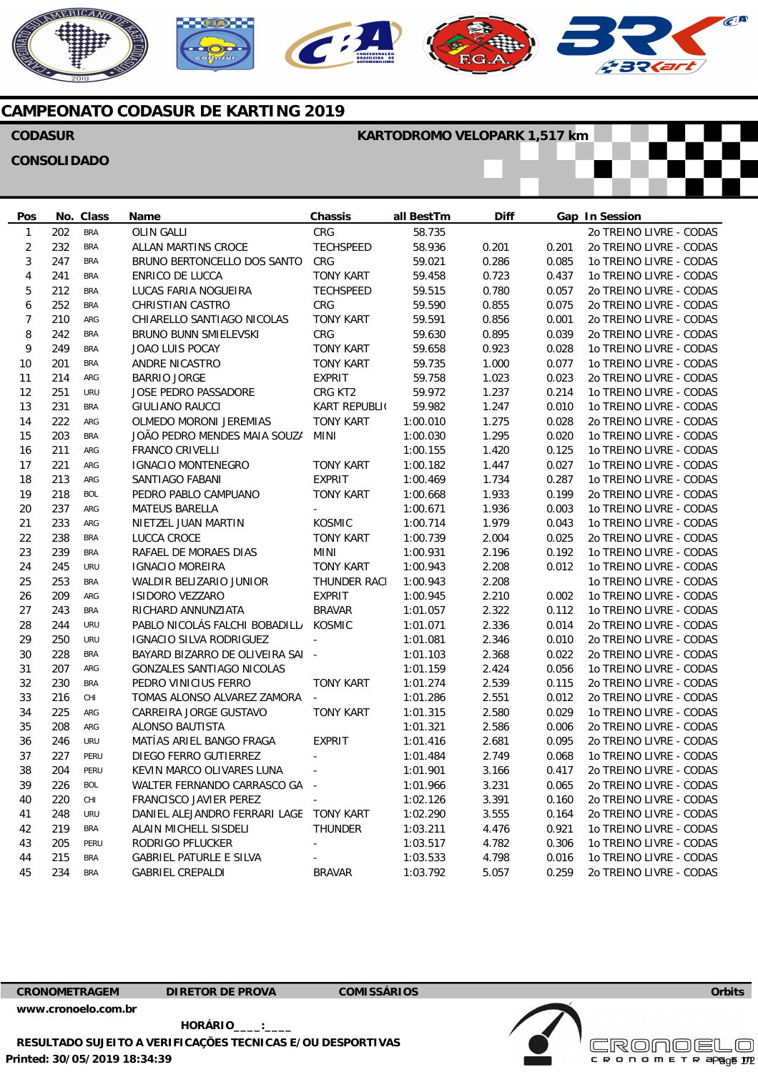





 $\epsilon$ 



# **CAMPEONATO CODASUR DE KARTING 2019**

## **CODASUR**

### **KARTODROMO VELOPARK 1,517 km**

## **CONSOLIDADO**

**Pos**  1 2 3 4 5 6 7 8 q 10 11 12 13 14 15 16 17 18 19  $20$  $21$ 22 23 24  $25$  $26$ 27 28 29 30 31 32 33 34 35 36 37 38 39 40 41 42 43 44 45 **No. Class**  202 232 247  $241$ 212 252 210 242 249 201 214 251 231 222 203 211 221 213 218 237 233 238 239 245 253 209 243 244 250 228 207 230 216 225 208 246 227 204 226 220 248 219 205 215 234 BRA BRA BRA BRA **BRA BRA** ARG **BRA** BRA BRA ARG URU BRA ARG BRA ARG ARG ARG BOL ARG ARG BRA BRA URU BRA ARG BRA URU URU BRA ARG BRA CHI ARG ARG URU **PERU PERU** BOL CHI URU BRA PERU BRA BRA **Name**  OLIN GALLI ALLAN MARTINS CROCE BRUNO BERTONCELLO DOS SANTOS ENRICO DE LUCCA LUCAS FARIA NOGUEIRA CHRISTIAN CASTRO CHIARELLO SANTIAGO NICOLAS BRUNO BUNN SMIELEVSKI JOAO LUIS POCAY ANDRE NICASTRO BARRIO JORGE JOSE PEDRO PASSADORE GIULIANO RAUCCI OLMEDO MORONI JEREMIAS JOÃO PEDRO MENDES MAIA SOUZA FRANCO CRIVELLI IGNACIO MONTENEGRO SANTIAGO FABANI PEDRO PABLO CAMPUANO MATEUS BARELLA NIETZEL JUAN MARTIN LUCCA CROCE RAFAEL DE MORAES DIAS IGNACIO MOREIRA WALDIR BELIZARIO JUNIOR ISIDORO VEZZARO RICHARD ANNUNZIATA PABLO NICOLÁS FALCHI BOBADILLA IGNACIO SILVA RODRIGUEZ BAYARD BIZARRO DE OLIVEIRA SAI GONZALES SANTIAGO NICOLAS PEDRO VINICIUS FERRO TOMAS ALONSO ALVAREZ ZAMORA CARREIRA JORGE GUSTAVO ALONSO BAUTISTA MATÍAS ARIEL BANGO FRAGA DIEGO FERRO GUTIERREZ KEVIN MARCO OLIVARES LUNA WALTER FERNANDO CARRASCO GA FRANCISCO JAVIER PEREZ DANIEL ALEJANDRO FERRARI LAGE ALAIN MICHELL SISDELI RODRIGO PFLUCKER GABRIEL PATURLE E SILVA GABRIEL CREPALDI **Chassis**  CRG **TECHSPEED** CRG TONY KART **TECHSPEED** CRG TONY KART CRG TONY KART TONY KART EXPRIT CRG KT2 KART REPUBLIC TONY KART MINI TONY KART EXPRIT TONY KART - KOSMIC TONY KART MINI TONY KART THUNDER RACI EXPRIT BRAVAR **KOSMIC** - - TONY KART - TONY KART EXPRIT - - - - TONY KART THUNDER - - BRAVAR **Overall BestTm**  58.735 58.936 59.021 59.458 59.515 59.590 59.591 59.630 59.658 59.735 59.758 59.972 59.982 1:00.010 1:00.030 1:00.155 1:00.182 1:00.469 1:00.668 1:00.671 1:00.714 1:00.739 1:00.931 1:00.943 1:00.943 1:00.945 1:01.057 1:01.071 1:01.081 1:01.103 1:01.159  $1:01.274$ 1:01.286 1:01.315 1:01.321 1:01.416 1:01.484 1:01.901 1:01.966 1:02.126 1:02.290 1:03.211 1:03.517 1:03.533 1:03.792 **Diff**  0.201 0.286 0.723 0.780 0.855 0.856 0.895 0.923 1.000 1.023 1.237 1.247 1.275 1.295 1.420 1.447 1.734 1.933 1.936 1.979 2.004 2.196 2.208 2.208 2.210 2.322 2.336 2.346 2.368 2.424 2.539 2.551 2.580 2.586 2.681 2.749 3.166 3.231 3.391 3.555 4.476 4.782 4.798 5.057 **Gap In Session**  0.201 0.085 0.437 0.057 0.075 0.001 0.039 0.028 0.077 0.023 0.214 0.010 0.028 0.020 0.125 0.027 0.287 0.199 0.003 0.043 0.025 0.192 0.012 0.002 0.112 0.014 0.010 0.022 0.056 0.115 0.012 0.029 0.006 0.095 0.068 0.417 0.065 0.160 0.164 0.921 0.306 0.016 0.259 2o TREINO LIVRE - CODAS 2o TREINO LIVRE - CODAS 1o TREINO LIVRE - CODAS 1o TREINO LIVRE - CODAS 20 TREINO LIVRE - CODAS 2o TREINO LIVRE - CODAS 2o TREINO LIVRE - CODAS 2o TREINO LIVRE - CODAS 1o TREINO LIVRE - CODAS 1o TREINO LIVRE - CODAS 2o TREINO LIVRE - CODAS 1o TREINO LIVRE - CODAS 1o TREINO LIVRE - CODAS 2o TREINO LIVRE - CODAS 1o TREINO LIVRE - CODAS 1o TREINO LIVRE - CODAS 1o TREINO LIVRE - CODAS 1o TREINO LIVRE - CODAS 2o TREINO LIVRE - CODAS 1o TREINO LIVRE - CODAS 1o TREINO LIVRE - CODAS 2o TREINO LIVRE - CODAS 1o TREINO LIVRE - CODAS 1o TREINO LIVRE - CODAS 1o TREINO LIVRE - CODAS 1o TREINO LIVRE - CODAS 1o TREINO LIVRE - CODAS 20 TREINO LIVRE - CODAS 2o TREINO LIVRE - CODAS 2o TREINO LIVRE - CODAS 1o TREINO LIVRE - CODAS 20 TREINO LIVRE - CODAS 2o TREINO LIVRE - CODAS 1o TREINO LIVRE - CODAS 2o TREINO LIVRE - CODAS 2o TREINO LIVRE - CODAS 1o TREINO LIVRE - CODAS 2o TREINO LIVRE - CODAS 2o TREINO LIVRE - CODAS 2o TREINO LIVRE - CODAS 2o TREINO LIVRE - CODAS 1o TREINO LIVRE - CODAS 1o TREINO LIVRE - CODAS 1o TREINO LIVRE - CODAS 2o TREINO LIVRE - CODAS

**CRONOMETRAGEM DIRETOR DE PROVA COMISSÁRIOS** 

**[www.cronoelo.com.br](http://www.cronoelo.com.br)** 

**Printed: 30/05/2019 18:34:39 HORÁRIO\_\_\_\_:\_\_\_\_ RESULTADO SUJEITO A VERIFICAÇÕES TECNICAS E/OU DESPORTIVAS** 



**Licensed to: Cronoelo** 

CRODOMETR

**Orbits** 

 $=$ Pa $eE$   $\pi$